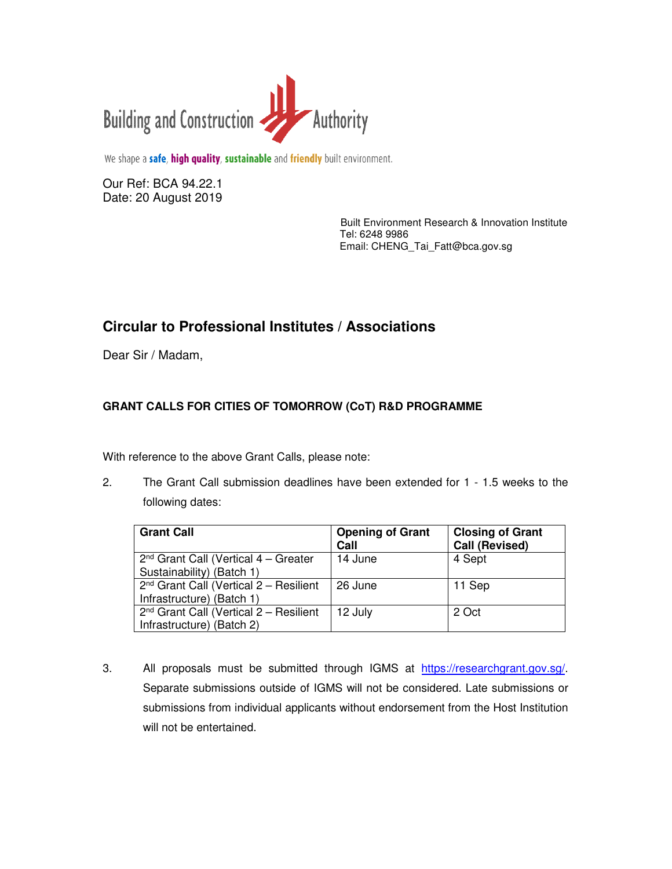

We shape a safe, high quality, sustainable and friendly built environment.

Our Ref: BCA 94.22.1 Date: 20 August 2019

> Built Environment Research & Innovation Institute Tel: 6248 9986 Email: CHENG\_Tai\_Fatt@bca.gov.sg

## **Circular to Professional Institutes / Associations**

Dear Sir / Madam,

## **GRANT CALLS FOR CITIES OF TOMORROW (CoT) R&D PROGRAMME**

With reference to the above Grant Calls, please note:

2. The Grant Call submission deadlines have been extended for 1 - 1.5 weeks to the following dates:

| <b>Grant Call</b>                          | <b>Opening of Grant</b><br>Call | <b>Closing of Grant</b><br><b>Call (Revised)</b> |
|--------------------------------------------|---------------------------------|--------------------------------------------------|
| $2nd$ Grant Call (Vertical 4 – Greater     | 14 June                         | 4 Sept                                           |
| Sustainability) (Batch 1)                  |                                 |                                                  |
| $2nd$ Grant Call (Vertical $2 -$ Resilient | 26 June                         | 11 Sep                                           |
| Infrastructure) (Batch 1)                  |                                 |                                                  |
| $2nd$ Grant Call (Vertical 2 – Resilient   | 12 July                         | 2 Oct                                            |
| Infrastructure) (Batch 2)                  |                                 |                                                  |

3. All proposals must be submitted through IGMS at https://researchgrant.gov.sg/. Separate submissions outside of IGMS will not be considered. Late submissions or submissions from individual applicants without endorsement from the Host Institution will not be entertained.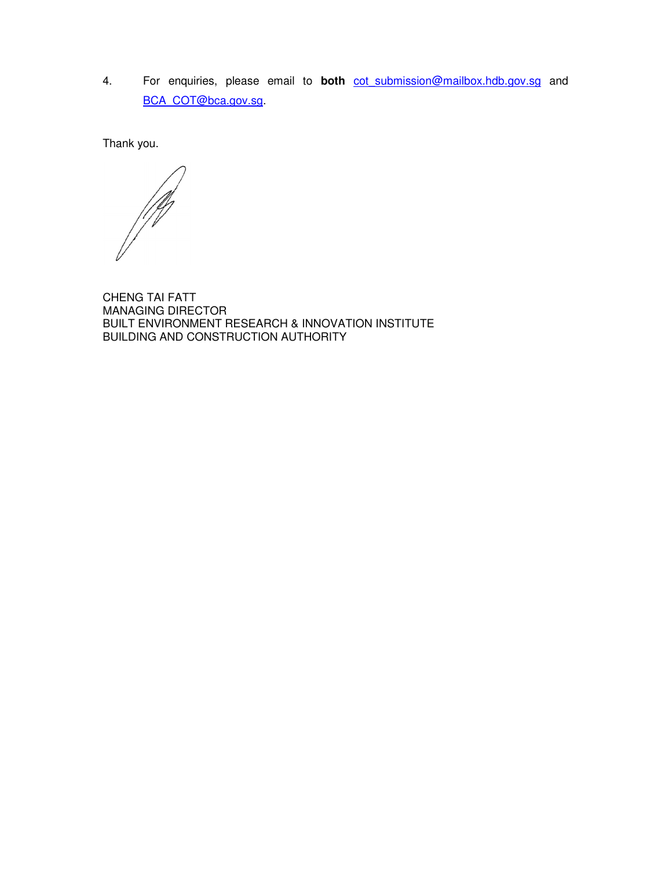4. For enquiries, please email to **both** cot submission@mailbox.hdb.gov.sg and BCA\_COT@bca.gov.sg.

Thank you.

**Signal Strain Strain Strain Strain Strain Strain Strain Strain Strain Strain Strain Strain Strain Strain Strain** 

CHENG TAI FATT MANAGING DIRECTOR BUILT ENVIRONMENT RESEARCH & INNOVATION INSTITUTE BUILDING AND CONSTRUCTION AUTHORITY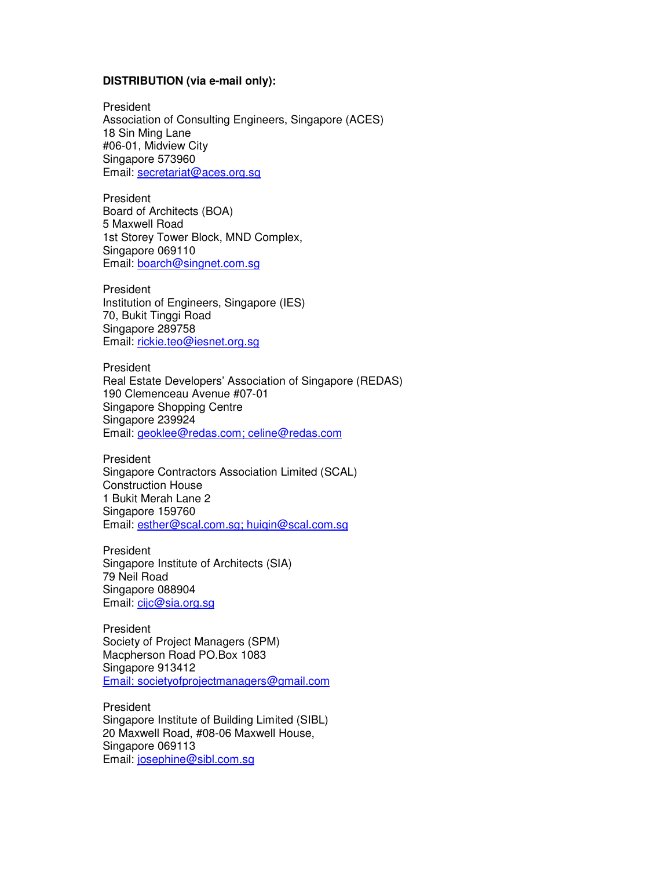## **DISTRIBUTION (via e-mail only):**

President Association of Consulting Engineers, Singapore (ACES) 18 Sin Ming Lane #06-01, Midview City Singapore 573960 Email: secretariat@aces.org.sg

President Board of Architects (BOA) 5 Maxwell Road 1st Storey Tower Block, MND Complex, Singapore 069110 Email: boarch@singnet.com.sg

**President** Institution of Engineers, Singapore (IES) 70, Bukit Tinggi Road Singapore 289758 Email: rickie.teo@iesnet.org.sg

President Real Estate Developers' Association of Singapore (REDAS) 190 Clemenceau Avenue #07-01 Singapore Shopping Centre Singapore 239924 Email: geoklee@redas.com; celine@redas.com

President Singapore Contractors Association Limited (SCAL) Construction House 1 Bukit Merah Lane 2 Singapore 159760 Email: esther@scal.com.sg; huiqin@scal.com.sg

President Singapore Institute of Architects (SIA) 79 Neil Road Singapore 088904 Email: cijc@sia.org.sg

**President** Society of Project Managers (SPM) Macpherson Road PO.Box 1083 Singapore 913412 Email: societyofprojectmanagers@gmail.com

President Singapore Institute of Building Limited (SIBL) 20 Maxwell Road, #08-06 Maxwell House, Singapore 069113 Email: josephine@sibl.com.sg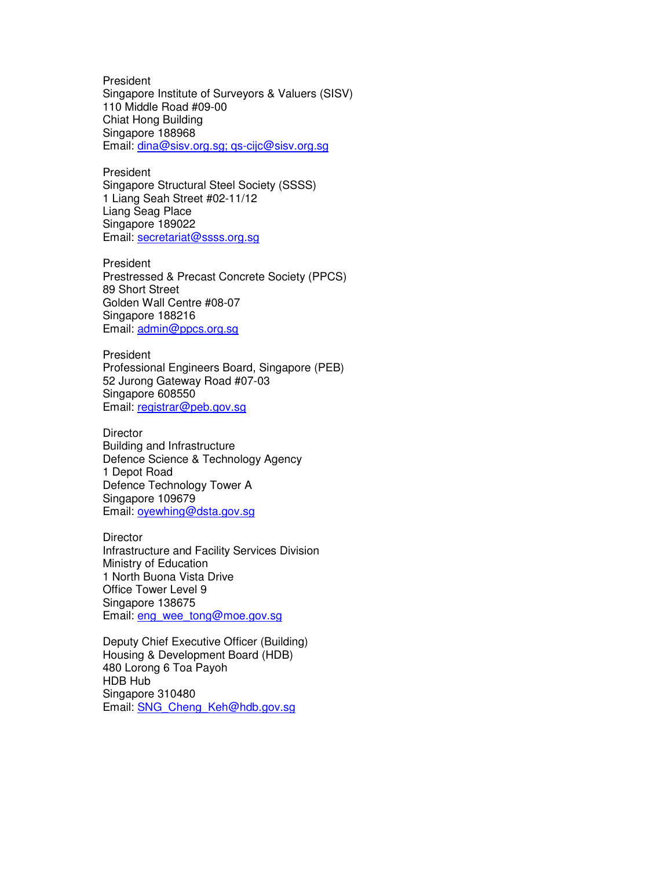President Singapore Institute of Surveyors & Valuers (SISV) 110 Middle Road #09-00 Chiat Hong Building Singapore 188968 Email: dina@sisv.org.sg; qs-cijc@sisv.org.sg

President Singapore Structural Steel Society (SSSS) 1 Liang Seah Street #02-11/12 Liang Seag Place Singapore 189022 Email: secretariat@ssss.org.sg

President Prestressed & Precast Concrete Society (PPCS) 89 Short Street Golden Wall Centre #08-07 Singapore 188216 Email: admin@ppcs.org.sg

President Professional Engineers Board, Singapore (PEB) 52 Jurong Gateway Road #07-03 Singapore 608550 Email: registrar@peb.gov.sg

**Director** Building and Infrastructure Defence Science & Technology Agency 1 Depot Road Defence Technology Tower A Singapore 109679 Email: oyewhing@dsta.gov.sg

**Director** Infrastructure and Facility Services Division Ministry of Education 1 North Buona Vista Drive Office Tower Level 9 Singapore 138675 Email: eng\_wee\_tong@moe.gov.sg

Deputy Chief Executive Officer (Building) Housing & Development Board (HDB) 480 Lorong 6 Toa Payoh HDB Hub Singapore 310480 Email: **SNG Cheng Keh@hdb.gov.sg**